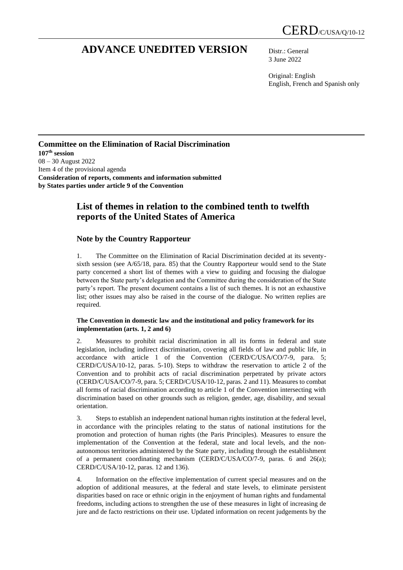# **ADVANCE UNEDITED VERSION** Distr.: General

3 June 2022

Original: English English, French and Spanish only

### **Committee on the Elimination of Racial Discrimination 107 th session** 08 – 30 August 2022 Item 4 of the provisional agenda **Consideration of reports, comments and information submitted by States parties under article 9 of the Convention**

# **List of themes in relation to the combined tenth to twelfth reports of the United States of America**

## **Note by the Country Rapporteur**

1. The Committee on the Elimination of Racial Discrimination decided at its seventysixth session (see A/65/18, para. 85) that the Country Rapporteur would send to the State party concerned a short list of themes with a view to guiding and focusing the dialogue between the State party's delegation and the Committee during the consideration of the State party's report. The present document contains a list of such themes. It is not an exhaustive list; other issues may also be raised in the course of the dialogue. No written replies are required.

#### **The Convention in domestic law and the institutional and policy framework for its implementation (arts. 1, 2 and 6)**

2. Measures to prohibit racial discrimination in all its forms in federal and state legislation, including indirect discrimination, covering all fields of law and public life, in accordance with article 1 of the Convention (CERD/C/USA/CO/7-9, para. 5; CERD/C/USA/10-12, paras. 5-10). Steps to withdraw the reservation to article 2 of the Convention and to prohibit acts of racial discrimination perpetrated by private actors (CERD/C/USA/CO/7-9, para. 5; CERD/C/USA/10-12, paras. 2 and 11). Measures to combat all forms of racial discrimination according to article 1 of the Convention intersecting with discrimination based on other grounds such as religion, gender, age, disability, and sexual orientation.

3. Steps to establish an independent national human rights institution at the federal level, in accordance with the principles relating to the status of national institutions for the promotion and protection of human rights (the Paris Principles). Measures to ensure the implementation of the Convention at the federal, state and local levels, and the nonautonomous territories administered by the State party, including through the establishment of a permanent coordinating mechanism (CERD/C/USA/CO/7-9, paras. 6 and 26(a); CERD/C/USA/10-12, paras. 12 and 136).

4. Information on the effective implementation of current special measures and on the adoption of additional measures, at the federal and state levels, to eliminate persistent disparities based on race or ethnic origin in the enjoyment of human rights and fundamental freedoms, including actions to strengthen the use of these measures in light of increasing de jure and de facto restrictions on their use. Updated information on recent judgements by the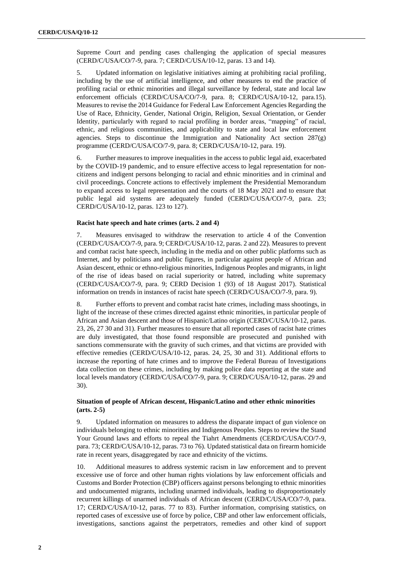Supreme Court and pending cases challenging the application of special measures (CERD/C/USA/CO/7-9, para. 7; CERD/C/USA/10-12, paras. 13 and 14).

5. Updated information on legislative initiatives aiming at prohibiting racial profiling, including by the use of artificial intelligence, and other measures to end the practice of profiling racial or ethnic minorities and illegal surveillance by federal, state and local law enforcement officials (CERD/C/USA/CO/7-9, para. 8; CERD/C/USA/10-12, para.15). Measures to revise the 2014 Guidance for Federal Law Enforcement Agencies Regarding the Use of Race, Ethnicity, Gender, National Origin, Religion, Sexual Orientation, or Gender Identity, particularly with regard to racial profiling in border areas, "mapping" of racial, ethnic, and religious communities, and applicability to state and local law enforcement agencies. Steps to discontinue the Immigration and Nationality Act section 287(g) programme (CERD/C/USA/CO/7-9, para. 8; CERD/C/USA/10-12, para. 19).

6. Further measures to improve inequalities in the access to public legal aid, exacerbated by the COVID-19 pandemic, and to ensure effective access to legal representation for noncitizens and indigent persons belonging to racial and ethnic minorities and in criminal and civil proceedings. Concrete actions to effectively implement the Presidential Memorandum to expand access to legal representation and the courts of 18 May 2021 and to ensure that public legal aid systems are adequately funded (CERD/C/USA/CO/7-9, para. 23; CERD/C/USA/10-12, paras. 123 to 127).

#### **Racist hate speech and hate crimes (arts. 2 and 4)**

7. Measures envisaged to withdraw the reservation to article 4 of the Convention (CERD/C/USA/CO/7-9, para. 9; CERD/C/USA/10-12, paras. 2 and 22). Measures to prevent and combat racist hate speech, including in the media and on other public platforms such as Internet, and by politicians and public figures, in particular against people of African and Asian descent, ethnic or ethno-religious minorities, Indigenous Peoples and migrants, in light of the rise of ideas based on racial superiority or hatred, including white supremacy (CERD/C/USA/CO/7-9, para. 9; CERD Decision 1 (93) of 18 August 2017). Statistical information on trends in instances of racist hate speech (CERD/C/USA/CO/7-9, para. 9).

8. Further efforts to prevent and combat racist hate crimes, including mass shootings, in light of the increase of these crimes directed against ethnic minorities, in particular people of African and Asian descent and those of Hispanic/Latino origin (CERD/C/USA/10-12, paras. 23, 26, 27 30 and 31). Further measures to ensure that all reported cases of racist hate crimes are duly investigated, that those found responsible are prosecuted and punished with sanctions commensurate with the gravity of such crimes, and that victims are provided with effective remedies (CERD/C/USA/10-12, paras. 24, 25, 30 and 31). Additional efforts to increase the reporting of hate crimes and to improve the Federal Bureau of Investigations data collection on these crimes, including by making police data reporting at the state and local levels mandatory (CERD/C/USA/CO/7-9, para. 9; CERD/C/USA/10-12, paras. 29 and 30).

#### **Situation of people of African descent, Hispanic/Latino and other ethnic minorities (arts. 2-5)**

9. Updated information on measures to address the disparate impact of gun violence on individuals belonging to ethnic minorities and Indigenous Peoples. Steps to review the Stand Your Ground laws and efforts to repeal the Tiahrt Amendments (CERD/C/USA/CO/7-9, para. 73; CERD/C/USA/10-12, paras. 73 to 76). Updated statistical data on firearm homicide rate in recent years, disaggregated by race and ethnicity of the victims.

10. Additional measures to address systemic racism in law enforcement and to prevent excessive use of force and other human rights violations by law enforcement officials and Customs and Border Protection (CBP) officers against persons belonging to ethnic minorities and undocumented migrants, including unarmed individuals, leading to disproportionately recurrent killings of unarmed individuals of African descent (CERD/C/USA/CO/7-9, para. 17; CERD/C/USA/10-12, paras. 77 to 83). Further information, comprising statistics, on reported cases of excessive use of force by police, CBP and other law enforcement officials, investigations, sanctions against the perpetrators, remedies and other kind of support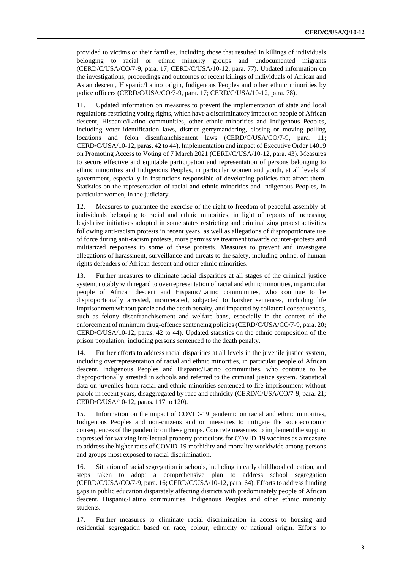provided to victims or their families, including those that resulted in killings of individuals belonging to racial or ethnic minority groups and undocumented migrants (CERD/C/USA/CO/7-9, para. 17; CERD/C/USA/10-12, para. 77). Updated information on the investigations, proceedings and outcomes of recent killings of individuals of African and Asian descent, Hispanic/Latino origin, Indigenous Peoples and other ethnic minorities by police officers (CERD/C/USA/CO/7-9, para. 17; CERD/C/USA/10-12, para. 78).

11. Updated information on measures to prevent the implementation of state and local regulations restricting voting rights, which have a discriminatory impact on people of African descent, Hispanic/Latino communities, other ethnic minorities and Indigenous Peoples, including voter identification laws, district gerrymandering, closing or moving polling locations and felon disenfranchisement laws (CERD/C/USA/CO/7-9, para. 11; CERD/C/USA/10-12, paras. 42 to 44). Implementation and impact of Executive Order 14019 on Promoting Access to Voting of 7 March 2021 (CERD/C/USA/10-12, para. 43). Measures to secure effective and equitable participation and representation of persons belonging to ethnic minorities and Indigenous Peoples, in particular women and youth, at all levels of government, especially in institutions responsible of developing policies that affect them. Statistics on the representation of racial and ethnic minorities and Indigenous Peoples, in particular women, in the judiciary.

12. Measures to guarantee the exercise of the right to freedom of peaceful assembly of individuals belonging to racial and ethnic minorities, in light of reports of increasing legislative initiatives adopted in some states restricting and criminalizing protest activities following anti-racism protests in recent years, as well as allegations of disproportionate use of force during anti-racism protests, more permissive treatment towards counter-protests and militarized responses to some of these protests. Measures to prevent and investigate allegations of harassment, surveillance and threats to the safety, including online, of human rights defenders of African descent and other ethnic minorities.

13. Further measures to eliminate racial disparities at all stages of the criminal justice system, notably with regard to overrepresentation of racial and ethnic minorities, in particular people of African descent and Hispanic/Latino communities, who continue to be disproportionally arrested, incarcerated, subjected to harsher sentences, including life imprisonment without parole and the death penalty, and impacted by collateral consequences, such as felony disenfranchisement and welfare bans, especially in the context of the enforcement of minimum drug-offence sentencing policies (CERD/C/USA/CO/7-9, para. 20; CERD/C/USA/10-12, paras. 42 to 44). Updated statistics on the ethnic composition of the prison population, including persons sentenced to the death penalty.

14. Further efforts to address racial disparities at all levels in the juvenile justice system, including overrepresentation of racial and ethnic minorities, in particular people of African descent, Indigenous Peoples and Hispanic/Latino communities, who continue to be disproportionally arrested in schools and referred to the criminal justice system. Statistical data on juveniles from racial and ethnic minorities sentenced to life imprisonment without parole in recent years, disaggregated by race and ethnicity (CERD/C/USA/CO/7-9, para. 21; CERD/C/USA/10-12, paras. 117 to 120).

15. Information on the impact of COVID-19 pandemic on racial and ethnic minorities, Indigenous Peoples and non-citizens and on measures to mitigate the socioeconomic consequences of the pandemic on these groups. Concrete measures to implement the support expressed for waiving intellectual property protections for COVID-19 vaccines as a measure to address the higher rates of COVID-19 morbidity and mortality worldwide among persons and groups most exposed to racial discrimination.

16. Situation of racial segregation in schools, including in early childhood education, and steps taken to adopt a comprehensive plan to address school segregation (CERD/C/USA/CO/7-9, para. 16; CERD/C/USA/10-12, para. 64). Efforts to address funding gaps in public education disparately affecting districts with predominately people of African descent, Hispanic/Latino communities, Indigenous Peoples and other ethnic minority students.

17. Further measures to eliminate racial discrimination in access to housing and residential segregation based on race, colour, ethnicity or national origin. Efforts to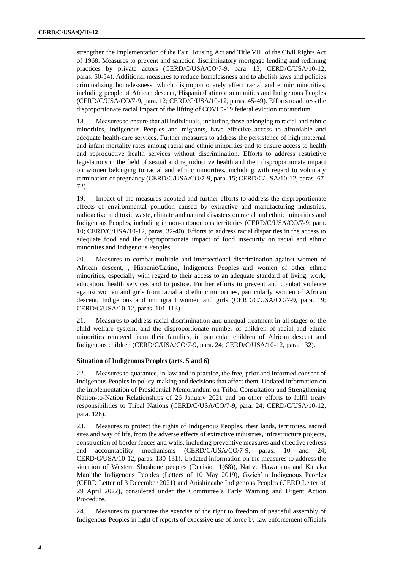strengthen the implementation of the Fair Housing Act and Title VIII of the Civil Rights Act of 1968. Measures to prevent and sanction discriminatory mortgage lending and redlining practices by private actors (CERD/C/USA/CO/7-9, para. 13; CERD/C/USA/10-12, paras. 50-54). Additional measures to reduce homelessness and to abolish laws and policies criminalizing homelessness, which disproportionately affect racial and ethnic minorities, including people of African descent, Hispanic/Latino communities and Indigenous Peoples (CERD/C/USA/CO/7-9, para. 12; CERD/C/USA/10-12, paras. 45-49). Efforts to address the disproportionate racial impact of the lifting of COVID-19 federal eviction moratorium.

18. Measures to ensure that all individuals, including those belonging to racial and ethnic minorities, Indigenous Peoples and migrants, have effective access to affordable and adequate health-care services. Further measures to address the persistence of high maternal and infant mortality rates among racial and ethnic minorities and to ensure access to health and reproductive health services without discrimination. Efforts to address restrictive legislations in the field of sexual and reproductive health and their disproportionate impact on women belonging to racial and ethnic minorities, including with regard to voluntary termination of pregnancy (CERD/C/USA/CO/7-9, para. 15; CERD/C/USA/10-12, paras. 67- 72).

19. Impact of the measures adopted and further efforts to address the disproportionate effects of environmental pollution caused by extractive and manufacturing industries, radioactive and toxic waste, climate and natural disasters on racial and ethnic minorities and Indigenous Peoples, including in non-autonomous territories (CERD/C/USA/CO/7-9, para. 10; CERD/C/USA/10-12, paras. 32-40). Efforts to address racial disparities in the access to adequate food and the disproportionate impact of food insecurity on racial and ethnic minorities and Indigenous Peoples.

20. Measures to combat multiple and intersectional discrimination against women of African descent, , Hispanic/Latino, Indigenous Peoples and women of other ethnic minorities, especially with regard to their access to an adequate standard of living, work, education, health services and to justice. Further efforts to prevent and combat violence against women and girls from racial and ethnic minorities, particularly women of African descent, Indigenous and immigrant women and girls (CERD/C/USA/CO/7-9, para. 19; CERD/C/USA/10-12, paras. 101-113).

21. Measures to address racial discrimination and unequal treatment in all stages of the child welfare system, and the disproportionate number of children of racial and ethnic minorities removed from their families, in particular children of African descent and Indigenous children (CERD/C/USA/CO/7-9, para. 24; CERD/C/USA/10-12, para. 132).

#### **Situation of Indigenous Peoples (arts. 5 and 6)**

22. Measures to guarantee, in law and in practice, the free, prior and informed consent of Indigenous Peoples in policy-making and decisions that affect them. Updated information on the implementation of Presidential Memorandum on Tribal Consultation and Strengthening Nation-to-Nation Relationships of 26 January 2021 and on other efforts to fulfil treaty responsibilities to Tribal Nations (CERD/C/USA/CO/7-9, para. 24; CERD/C/USA/10-12, para. 128).

23. Measures to protect the rights of Indigenous Peoples, their lands, territories, sacred sites and way of life, from the adverse effects of extractive industries, infrastructure projects, construction of border fences and walls, including preventive measures and effective redress and accountability mechanisms (CERD/C/USA/CO/7-9, paras. 10 and 24; CERD/C/USA/10-12, paras. 130-131). Updated information on the measures to address the situation of Western Shoshone peoples (Decision 1(68)), Native Hawaiians and Kanaka Maolithe Indigenous Peoples (Letters of 10 May 2019), Gwich'in Indigenous Peoples (CERD Letter of 3 December 2021) and Anishinaabe Indigenous Peoples (CERD Letter of 29 April 2022), considered under the Committee's Early Warning and Urgent Action Procedure.

24. Measures to guarantee the exercise of the right to freedom of peaceful assembly of Indigenous Peoples in light of reports of excessive use of force by law enforcement officials